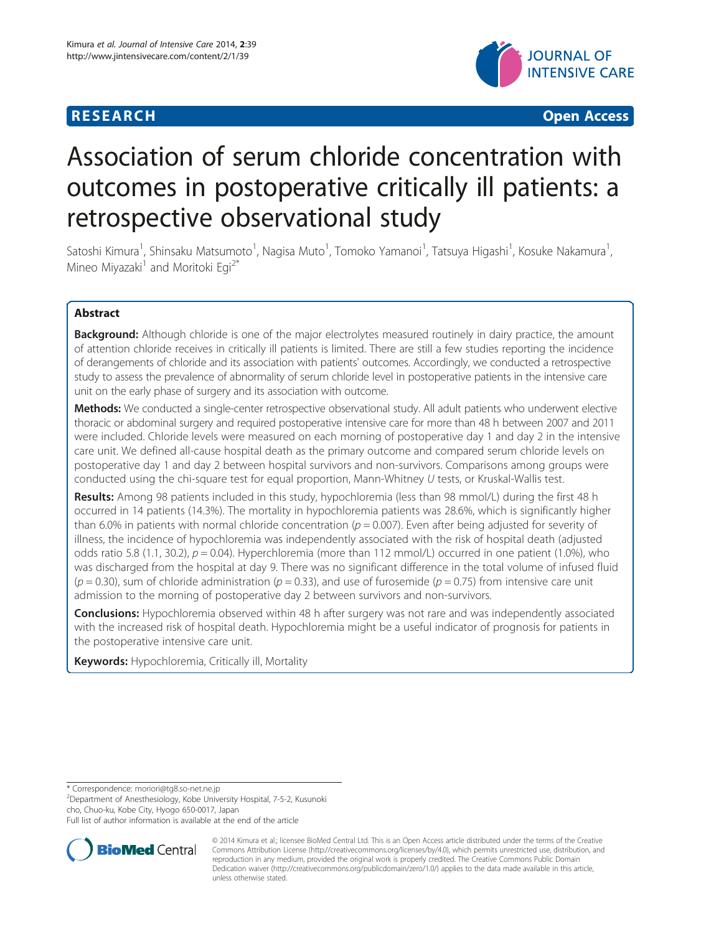# **RESEARCH CHILD CONTROL** CONTROL CONTROL CONTROL CONTROL CONTROL CONTROL CONTROL CONTROL CONTROL CONTROL CONTROL CONTROL CONTROL CONTROL CONTROL CONTROL CONTROL CONTROL CONTROL CONTROL CONTROL CONTROL CONTROL CONTROL CONTR



# Association of serum chloride concentration with outcomes in postoperative critically ill patients: a retrospective observational study

Satoshi Kimura<sup>1</sup>, Shinsaku Matsumoto<sup>1</sup>, Nagisa Muto<sup>1</sup>, Tomoko Yamanoi<sup>1</sup>, Tatsuya Higashi<sup>1</sup>, Kosuke Nakamura<sup>1</sup> , Mineo Miyazaki<sup>1</sup> and Moritoki Eqi<sup>2\*</sup>

# Abstract

**Background:** Although chloride is one of the major electrolytes measured routinely in dairy practice, the amount of attention chloride receives in critically ill patients is limited. There are still a few studies reporting the incidence of derangements of chloride and its association with patients' outcomes. Accordingly, we conducted a retrospective study to assess the prevalence of abnormality of serum chloride level in postoperative patients in the intensive care unit on the early phase of surgery and its association with outcome.

Methods: We conducted a single-center retrospective observational study. All adult patients who underwent elective thoracic or abdominal surgery and required postoperative intensive care for more than 48 h between 2007 and 2011 were included. Chloride levels were measured on each morning of postoperative day 1 and day 2 in the intensive care unit. We defined all-cause hospital death as the primary outcome and compared serum chloride levels on postoperative day 1 and day 2 between hospital survivors and non-survivors. Comparisons among groups were conducted using the chi-square test for equal proportion, Mann-Whitney U tests, or Kruskal-Wallis test.

Results: Among 98 patients included in this study, hypochloremia (less than 98 mmol/L) during the first 48 h occurred in 14 patients (14.3%). The mortality in hypochloremia patients was 28.6%, which is significantly higher than 6.0% in patients with normal chloride concentration ( $p = 0.007$ ). Even after being adjusted for severity of illness, the incidence of hypochloremia was independently associated with the risk of hospital death (adjusted odds ratio 5.8 (1.1, 30.2),  $p = 0.04$ ). Hyperchloremia (more than 112 mmol/L) occurred in one patient (1.0%), who was discharged from the hospital at day 9. There was no significant difference in the total volume of infused fluid  $(p = 0.30)$ , sum of chloride administration  $(p = 0.33)$ , and use of furosemide  $(p = 0.75)$  from intensive care unit admission to the morning of postoperative day 2 between survivors and non-survivors.

**Conclusions:** Hypochloremia observed within 48 h after surgery was not rare and was independently associated with the increased risk of hospital death. Hypochloremia might be a useful indicator of prognosis for patients in the postoperative intensive care unit.

Keywords: Hypochloremia, Critically ill, Mortality

\* Correspondence: [moriori@tg8.so-net.ne.jp](mailto:moriori@tg8.so-net.ne.jp) <sup>2</sup>

 $2$ Department of Anesthesiology, Kobe University Hospital, 7-5-2, Kusunoki cho, Chuo-ku, Kobe City, Hyogo 650-0017, Japan

Full list of author information is available at the end of the article



© 2014 Kimura et al.; licensee BioMed Central Ltd. This is an Open Access article distributed under the terms of the Creative Commons Attribution License [\(http://creativecommons.org/licenses/by/4.0\)](http://creativecommons.org/licenses/by/4.0), which permits unrestricted use, distribution, and reproduction in any medium, provided the original work is properly credited. The Creative Commons Public Domain Dedication waiver [\(http://creativecommons.org/publicdomain/zero/1.0/](http://creativecommons.org/publicdomain/zero/1.0/)) applies to the data made available in this article, unless otherwise stated.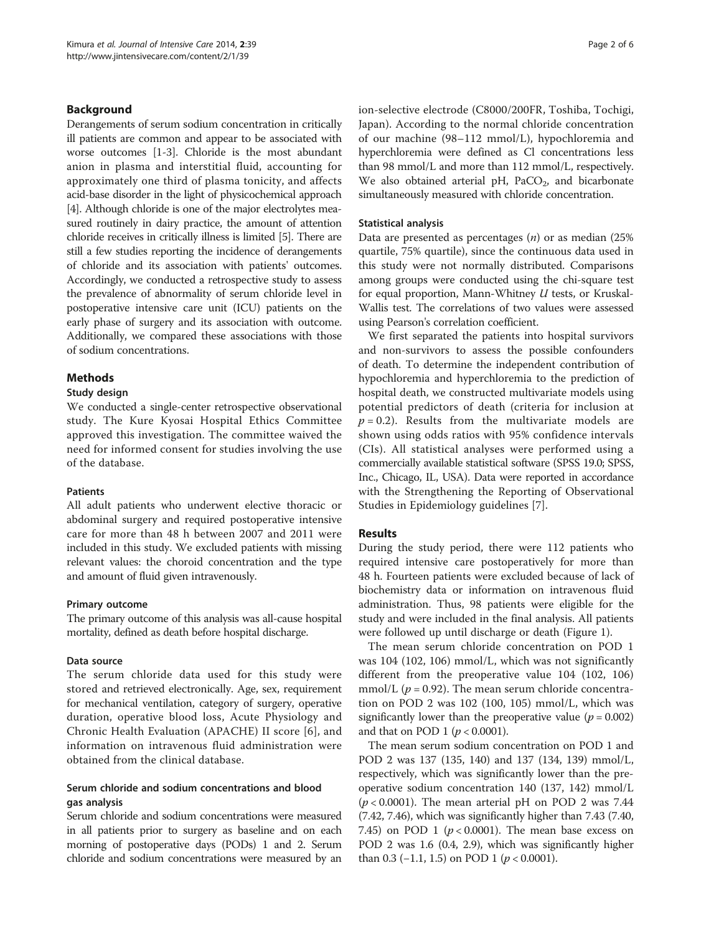# Background

Derangements of serum sodium concentration in critically ill patients are common and appear to be associated with worse outcomes [\[1-3](#page-5-0)]. Chloride is the most abundant anion in plasma and interstitial fluid, accounting for approximately one third of plasma tonicity, and affects acid-base disorder in the light of physicochemical approach [[4](#page-5-0)]. Although chloride is one of the major electrolytes measured routinely in dairy practice, the amount of attention chloride receives in critically illness is limited [[5](#page-5-0)]. There are still a few studies reporting the incidence of derangements of chloride and its association with patients' outcomes. Accordingly, we conducted a retrospective study to assess the prevalence of abnormality of serum chloride level in postoperative intensive care unit (ICU) patients on the early phase of surgery and its association with outcome. Additionally, we compared these associations with those of sodium concentrations.

# Methods

# Study design

We conducted a single-center retrospective observational study. The Kure Kyosai Hospital Ethics Committee approved this investigation. The committee waived the need for informed consent for studies involving the use of the database.

# Patients

All adult patients who underwent elective thoracic or abdominal surgery and required postoperative intensive care for more than 48 h between 2007 and 2011 were included in this study. We excluded patients with missing relevant values: the choroid concentration and the type and amount of fluid given intravenously.

# Primary outcome

The primary outcome of this analysis was all-cause hospital mortality, defined as death before hospital discharge.

# Data source

The serum chloride data used for this study were stored and retrieved electronically. Age, sex, requirement for mechanical ventilation, category of surgery, operative duration, operative blood loss, Acute Physiology and Chronic Health Evaluation (APACHE) II score [\[6](#page-5-0)], and information on intravenous fluid administration were obtained from the clinical database.

# Serum chloride and sodium concentrations and blood gas analysis

Serum chloride and sodium concentrations were measured in all patients prior to surgery as baseline and on each morning of postoperative days (PODs) 1 and 2. Serum chloride and sodium concentrations were measured by an ion-selective electrode (C8000/200FR, Toshiba, Tochigi, Japan). According to the normal chloride concentration of our machine (98–112 mmol/L), hypochloremia and hyperchloremia were defined as Cl concentrations less than 98 mmol/L and more than 112 mmol/L, respectively. We also obtained arterial pH,  $PaCO<sub>2</sub>$ , and bicarbonate simultaneously measured with chloride concentration.

# Statistical analysis

Data are presented as percentages  $(n)$  or as median  $(25\%)$ quartile, 75% quartile), since the continuous data used in this study were not normally distributed. Comparisons among groups were conducted using the chi-square test for equal proportion, Mann-Whitney U tests, or Kruskal-Wallis test. The correlations of two values were assessed using Pearson's correlation coefficient.

We first separated the patients into hospital survivors and non-survivors to assess the possible confounders of death. To determine the independent contribution of hypochloremia and hyperchloremia to the prediction of hospital death, we constructed multivariate models using potential predictors of death (criteria for inclusion at  $p = 0.2$ ). Results from the multivariate models are shown using odds ratios with 95% confidence intervals (CIs). All statistical analyses were performed using a commercially available statistical software (SPSS 19.0; SPSS, Inc., Chicago, IL, USA). Data were reported in accordance with the Strengthening the Reporting of Observational Studies in Epidemiology guidelines [\[7](#page-5-0)].

# Results

During the study period, there were 112 patients who required intensive care postoperatively for more than 48 h. Fourteen patients were excluded because of lack of biochemistry data or information on intravenous fluid administration. Thus, 98 patients were eligible for the study and were included in the final analysis. All patients were followed up until discharge or death (Figure [1](#page-2-0)).

The mean serum chloride concentration on POD 1 was 104 (102, 106) mmol/L, which was not significantly different from the preoperative value 104 (102, 106) mmol/L ( $p = 0.92$ ). The mean serum chloride concentration on POD 2 was 102 (100, 105) mmol/L, which was significantly lower than the preoperative value ( $p = 0.002$ ) and that on POD 1 ( $p < 0.0001$ ).

The mean serum sodium concentration on POD 1 and POD 2 was 137 (135, 140) and 137 (134, 139) mmol/L, respectively, which was significantly lower than the preoperative sodium concentration 140 (137, 142) mmol/L  $(p < 0.0001)$ . The mean arterial pH on POD 2 was 7.44 (7.42, 7.46), which was significantly higher than 7.43 (7.40, 7.45) on POD 1 ( $p < 0.0001$ ). The mean base excess on POD 2 was 1.6 (0.4, 2.9), which was significantly higher than 0.3 (-1.1, 1.5) on POD 1 ( $p < 0.0001$ ).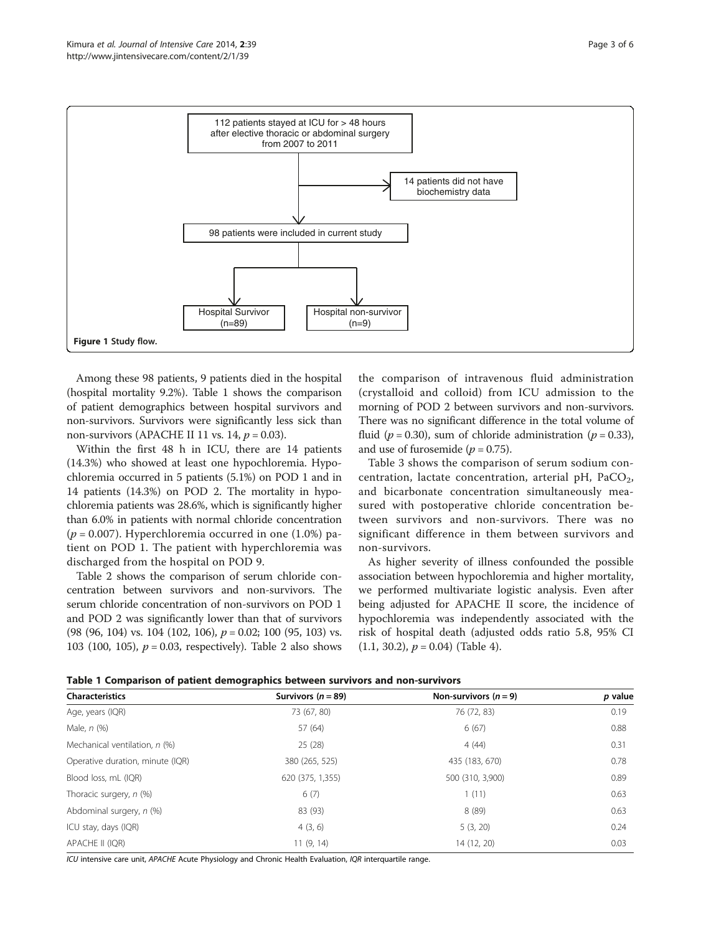<span id="page-2-0"></span>

Among these 98 patients, 9 patients died in the hospital (hospital mortality 9.2%). Table 1 shows the comparison of patient demographics between hospital survivors and non-survivors. Survivors were significantly less sick than non-survivors (APACHE II 11 vs. 14,  $p = 0.03$ ).

Within the first 48 h in ICU, there are 14 patients (14.3%) who showed at least one hypochloremia. Hypochloremia occurred in 5 patients (5.1%) on POD 1 and in 14 patients (14.3%) on POD 2. The mortality in hypochloremia patients was 28.6%, which is significantly higher than 6.0% in patients with normal chloride concentration  $(p = 0.007)$ . Hyperchloremia occurred in one (1.0%) patient on POD 1. The patient with hyperchloremia was discharged from the hospital on POD 9.

Table [2](#page-3-0) shows the comparison of serum chloride concentration between survivors and non-survivors. The serum chloride concentration of non-survivors on POD 1 and POD 2 was significantly lower than that of survivors (98 (96, 104) vs. 104 (102, 106),  $p = 0.02$ ; 100 (95, 103) vs. 103 (100, 105),  $p = 0.03$ , respectively). Table [2](#page-3-0) also shows

the comparison of intravenous fluid administration (crystalloid and colloid) from ICU admission to the morning of POD 2 between survivors and non-survivors. There was no significant difference in the total volume of fluid ( $p = 0.30$ ), sum of chloride administration ( $p = 0.33$ ), and use of furosemide ( $p = 0.75$ ).

Table [3](#page-3-0) shows the comparison of serum sodium concentration, lactate concentration, arterial pH,  $PaCO<sub>2</sub>$ , and bicarbonate concentration simultaneously measured with postoperative chloride concentration between survivors and non-survivors. There was no significant difference in them between survivors and non-survivors.

As higher severity of illness confounded the possible association between hypochloremia and higher mortality, we performed multivariate logistic analysis. Even after being adjusted for APACHE II score, the incidence of hypochloremia was independently associated with the risk of hospital death (adjusted odds ratio 5.8, 95% CI  $(1.1, 30.2), p = 0.04$  (Table [4\)](#page-4-0).

|  | Table 1 Comparison of patient demographics between survivors and non-survivors |  |  |  |  |  |  |
|--|--------------------------------------------------------------------------------|--|--|--|--|--|--|
|--|--------------------------------------------------------------------------------|--|--|--|--|--|--|

| <b>Characteristics</b>           | - -<br>Survivors ( $n = 89$ ) | Non-survivors $(n = 9)$ | p value |
|----------------------------------|-------------------------------|-------------------------|---------|
| Age, years (IQR)                 | 73 (67, 80)                   | 76 (72, 83)             | 0.19    |
| Male, $n$ $(\%)$                 | 57 (64)                       | 6(67)                   | 0.88    |
| Mechanical ventilation, n (%)    | 25(28)                        | 4(44)                   | 0.31    |
| Operative duration, minute (IQR) | 380 (265, 525)                | 435 (183, 670)          | 0.78    |
| Blood loss, mL (IQR)             | 620 (375, 1,355)              | 500 (310, 3,900)        | 0.89    |
| Thoracic surgery, n (%)          | 6(7)                          | 1(11)                   | 0.63    |
| Abdominal surgery, n (%)         | 83 (93)                       | 8 (89)                  | 0.63    |
| ICU stay, days (IQR)             | 4(3, 6)                       | 5(3, 20)                | 0.24    |
| APACHE II (IQR)                  | 11(9, 14)                     | 14 (12, 20)             | 0.03    |

ICU intensive care unit, APACHE Acute Physiology and Chronic Health Evaluation, IQR interquartile range.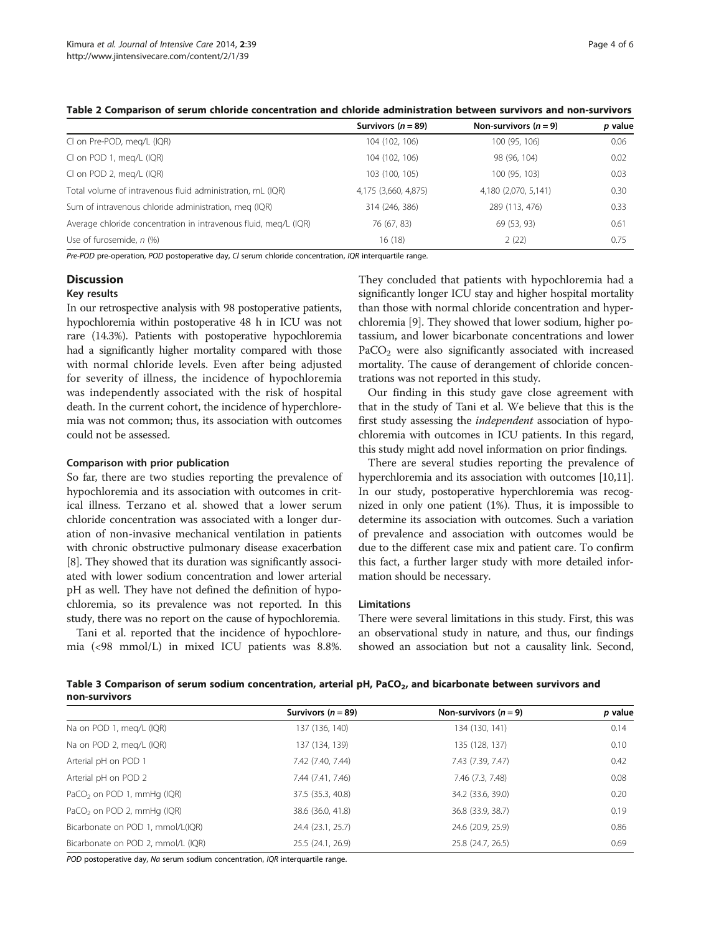<span id="page-3-0"></span>

| Table 2 Comparison of serum chloride concentration and chloride administration between survivors and non-survivors |  |  |
|--------------------------------------------------------------------------------------------------------------------|--|--|
|                                                                                                                    |  |  |

|                                                                  | Survivors ( $n = 89$ ) | Non-survivors $(n = 9)$ | p value |
|------------------------------------------------------------------|------------------------|-------------------------|---------|
| CI on Pre-POD, meg/L (IQR)                                       | 104 (102, 106)         | 100 (95, 106)           | 0.06    |
| CI on POD 1, meg/L (IQR)                                         | 104 (102, 106)         | 98 (96, 104)            | 0.02    |
| CI on POD 2, meg/L (IQR)                                         | 103 (100, 105)         | 100 (95, 103)           | 0.03    |
| Total volume of intravenous fluid administration, mL (IQR)       | 4,175 (3,660, 4,875)   | 4,180 (2,070, 5,141)    | 0.30    |
| Sum of intravenous chloride administration, meg (IQR)            | 314 (246, 386)         | 289 (113, 476)          | 0.33    |
| Average chloride concentration in intravenous fluid, meg/L (IQR) | 76 (67, 83)            | 69 (53, 93)             | 0.61    |
| Use of furosemide, n (%)                                         | 16(18)                 | 2(22)                   | 0.75    |

Pre-POD pre-operation, POD postoperative day, Cl serum chloride concentration, IQR interquartile range.

# **Discussion**

# Key results

In our retrospective analysis with 98 postoperative patients, hypochloremia within postoperative 48 h in ICU was not rare (14.3%). Patients with postoperative hypochloremia had a significantly higher mortality compared with those with normal chloride levels. Even after being adjusted for severity of illness, the incidence of hypochloremia was independently associated with the risk of hospital death. In the current cohort, the incidence of hyperchloremia was not common; thus, its association with outcomes could not be assessed.

## Comparison with prior publication

So far, there are two studies reporting the prevalence of hypochloremia and its association with outcomes in critical illness. Terzano et al. showed that a lower serum chloride concentration was associated with a longer duration of non-invasive mechanical ventilation in patients with chronic obstructive pulmonary disease exacerbation [[8\]](#page-5-0). They showed that its duration was significantly associated with lower sodium concentration and lower arterial pH as well. They have not defined the definition of hypochloremia, so its prevalence was not reported. In this study, there was no report on the cause of hypochloremia.

Tani et al. reported that the incidence of hypochloremia (<98 mmol/L) in mixed ICU patients was 8.8%.

They concluded that patients with hypochloremia had a significantly longer ICU stay and higher hospital mortality than those with normal chloride concentration and hyperchloremia [\[9](#page-5-0)]. They showed that lower sodium, higher potassium, and lower bicarbonate concentrations and lower PaCO<sub>2</sub> were also significantly associated with increased mortality. The cause of derangement of chloride concentrations was not reported in this study.

Our finding in this study gave close agreement with that in the study of Tani et al. We believe that this is the first study assessing the independent association of hypochloremia with outcomes in ICU patients. In this regard, this study might add novel information on prior findings.

There are several studies reporting the prevalence of hyperchloremia and its association with outcomes [\[10,11](#page-5-0)]. In our study, postoperative hyperchloremia was recognized in only one patient (1%). Thus, it is impossible to determine its association with outcomes. Such a variation of prevalence and association with outcomes would be due to the different case mix and patient care. To confirm this fact, a further larger study with more detailed information should be necessary.

# Limitations

There were several limitations in this study. First, this was an observational study in nature, and thus, our findings showed an association but not a causality link. Second,

Table 3 Comparison of serum sodium concentration, arterial pH, PaCO<sub>2</sub>, and bicarbonate between survivors and non-survivors

|                                        | Survivors ( $n = 89$ ) | Non-survivors $(n = 9)$ | p value |
|----------------------------------------|------------------------|-------------------------|---------|
| Na on POD 1, meg/L (IQR)               | 137 (136, 140)         | 134 (130, 141)          | 0.14    |
| Na on POD 2, meg/L (IQR)               | 137 (134, 139)         | 135 (128, 137)          | 0.10    |
| Arterial pH on POD 1                   | 7.42 (7.40, 7.44)      | 7.43 (7.39, 7.47)       | 0.42    |
| Arterial pH on POD 2                   | 7.44 (7.41, 7.46)      | 7.46 (7.3, 7.48)        | 0.08    |
| PaCO <sub>2</sub> on POD 1, mmHg (IQR) | 37.5 (35.3, 40.8)      | 34.2 (33.6, 39.0)       | 0.20    |
| PaCO <sub>2</sub> on POD 2, mmHg (IQR) | 38.6 (36.0, 41.8)      | 36.8 (33.9, 38.7)       | 0.19    |
| Bicarbonate on POD 1, mmol/L(IQR)      | 24.4 (23.1, 25.7)      | 24.6 (20.9, 25.9)       | 0.86    |
| Bicarbonate on POD 2, mmol/L (IQR)     | 25.5 (24.1, 26.9)      | 25.8 (24.7, 26.5)       | 0.69    |

POD postoperative day, Na serum sodium concentration, IQR interquartile range.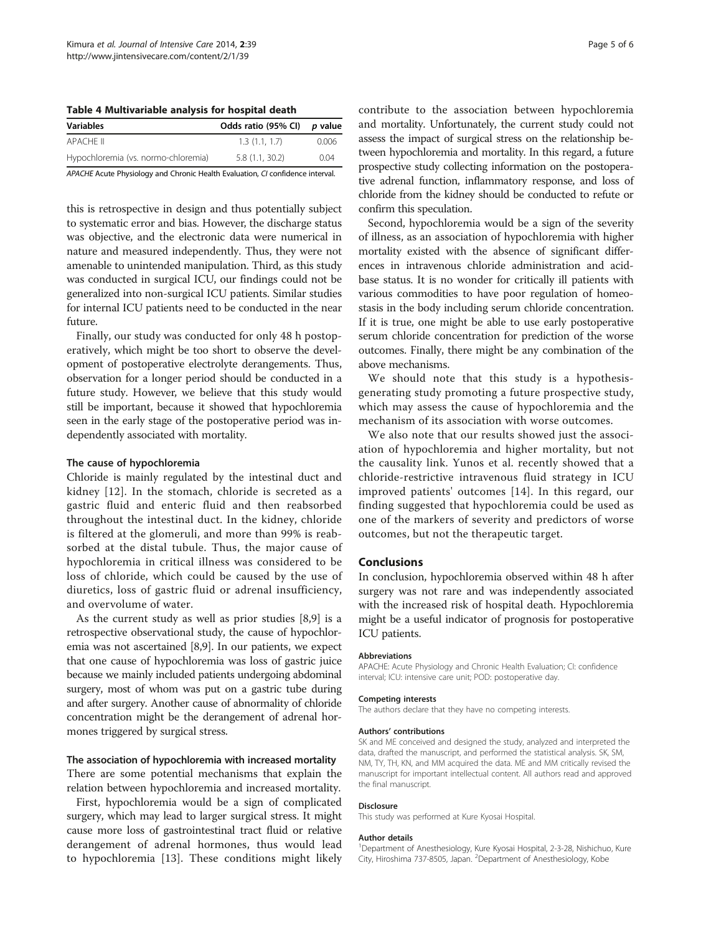<span id="page-4-0"></span>Table 4 Multivariable analysis for hospital death

| <b>Variables</b>                                                             | Odds ratio (95% CI) | p value |  |
|------------------------------------------------------------------------------|---------------------|---------|--|
| APACHE II                                                                    | 1.3(1.1.1.7)        | 0.006   |  |
| Hypochloremia (vs. normo-chloremia)                                          | 5.8(1.1, 30.2)      | 0.04    |  |
| ADACHE Acute Physiology and Chronic Health Evaluation CL confidence interval |                     |         |  |

APACHE Acute Physiology and Chronic Health Evaluation, CI contains a percent interval.

this is retrospective in design and thus potentially subject to systematic error and bias. However, the discharge status was objective, and the electronic data were numerical in nature and measured independently. Thus, they were not amenable to unintended manipulation. Third, as this study was conducted in surgical ICU, our findings could not be generalized into non-surgical ICU patients. Similar studies for internal ICU patients need to be conducted in the near future.

Finally, our study was conducted for only 48 h postoperatively, which might be too short to observe the development of postoperative electrolyte derangements. Thus, observation for a longer period should be conducted in a future study. However, we believe that this study would still be important, because it showed that hypochloremia seen in the early stage of the postoperative period was independently associated with mortality.

## The cause of hypochloremia

Chloride is mainly regulated by the intestinal duct and kidney [[12](#page-5-0)]. In the stomach, chloride is secreted as a gastric fluid and enteric fluid and then reabsorbed throughout the intestinal duct. In the kidney, chloride is filtered at the glomeruli, and more than 99% is reabsorbed at the distal tubule. Thus, the major cause of hypochloremia in critical illness was considered to be loss of chloride, which could be caused by the use of diuretics, loss of gastric fluid or adrenal insufficiency, and overvolume of water.

As the current study as well as prior studies [\[8](#page-5-0),[9](#page-5-0)] is a retrospective observational study, the cause of hypochloremia was not ascertained [[8,9](#page-5-0)]. In our patients, we expect that one cause of hypochloremia was loss of gastric juice because we mainly included patients undergoing abdominal surgery, most of whom was put on a gastric tube during and after surgery. Another cause of abnormality of chloride concentration might be the derangement of adrenal hormones triggered by surgical stress.

# The association of hypochloremia with increased mortality

There are some potential mechanisms that explain the relation between hypochloremia and increased mortality.

First, hypochloremia would be a sign of complicated surgery, which may lead to larger surgical stress. It might cause more loss of gastrointestinal tract fluid or relative derangement of adrenal hormones, thus would lead to hypochloremia [\[13](#page-5-0)]. These conditions might likely contribute to the association between hypochloremia and mortality. Unfortunately, the current study could not assess the impact of surgical stress on the relationship between hypochloremia and mortality. In this regard, a future prospective study collecting information on the postoperative adrenal function, inflammatory response, and loss of chloride from the kidney should be conducted to refute or confirm this speculation.

Second, hypochloremia would be a sign of the severity of illness, as an association of hypochloremia with higher mortality existed with the absence of significant differences in intravenous chloride administration and acidbase status. It is no wonder for critically ill patients with various commodities to have poor regulation of homeostasis in the body including serum chloride concentration. If it is true, one might be able to use early postoperative serum chloride concentration for prediction of the worse outcomes. Finally, there might be any combination of the above mechanisms.

We should note that this study is a hypothesisgenerating study promoting a future prospective study, which may assess the cause of hypochloremia and the mechanism of its association with worse outcomes.

We also note that our results showed just the association of hypochloremia and higher mortality, but not the causality link. Yunos et al. recently showed that a chloride-restrictive intravenous fluid strategy in ICU improved patients' outcomes [\[14\]](#page-5-0). In this regard, our finding suggested that hypochloremia could be used as one of the markers of severity and predictors of worse outcomes, but not the therapeutic target.

# Conclusions

In conclusion, hypochloremia observed within 48 h after surgery was not rare and was independently associated with the increased risk of hospital death. Hypochloremia might be a useful indicator of prognosis for postoperative ICU patients.

#### Abbreviations

APACHE: Acute Physiology and Chronic Health Evaluation; CI: confidence interval; ICU: intensive care unit; POD: postoperative day.

#### Competing interests

The authors declare that they have no competing interests.

#### Authors' contributions

SK and ME conceived and designed the study, analyzed and interpreted the data, drafted the manuscript, and performed the statistical analysis. SK, SM, NM, TY, TH, KN, and MM acquired the data. ME and MM critically revised the manuscript for important intellectual content. All authors read and approved the final manuscript.

# Disclosure

This study was performed at Kure Kyosai Hospital.

#### Author details

<sup>1</sup>Department of Anesthesiology, Kure Kyosai Hospital, 2-3-28, Nishichuo, Kure City, Hiroshima 737-8505, Japan. <sup>2</sup> Department of Anesthesiology, Kobe